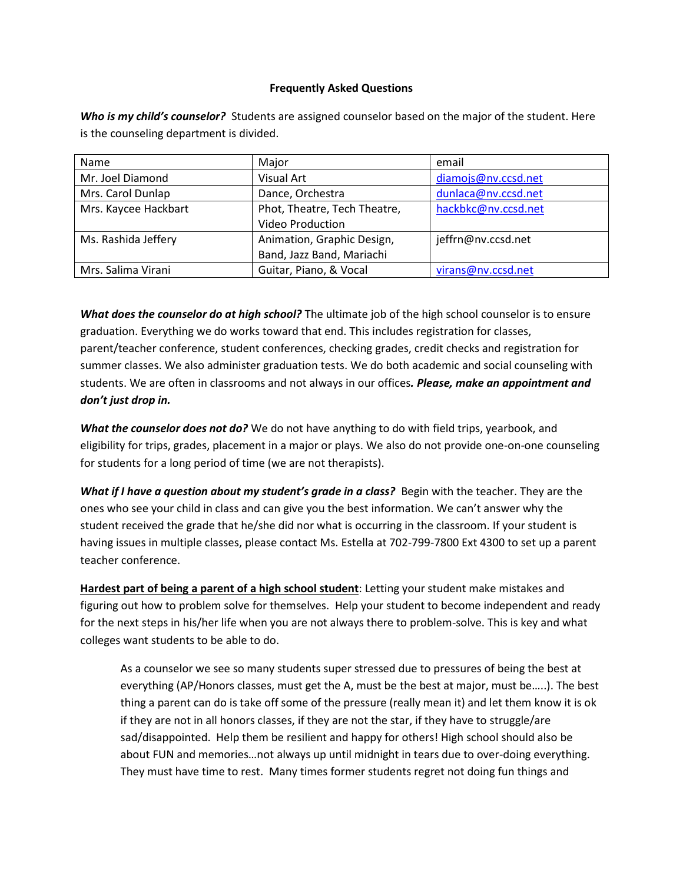## **Frequently Asked Questions**

*Who is my child's counselor?* Students are assigned counselor based on the major of the student. Here is the counseling department is divided.

| Name                 | Major                        | email               |  |
|----------------------|------------------------------|---------------------|--|
| Mr. Joel Diamond     | <b>Visual Art</b>            | diamojs@nv.ccsd.net |  |
| Mrs. Carol Dunlap    | Dance, Orchestra             | dunlaca@nv.ccsd.net |  |
| Mrs. Kaycee Hackbart | Phot, Theatre, Tech Theatre, | hackbkc@nv.ccsd.net |  |
|                      | <b>Video Production</b>      |                     |  |
| Ms. Rashida Jeffery  | Animation, Graphic Design,   | jeffrn@nv.ccsd.net  |  |
|                      | Band, Jazz Band, Mariachi    |                     |  |
| Mrs. Salima Virani   | Guitar, Piano, & Vocal       | virans@nv.ccsd.net  |  |

*What does the counselor do at high school?* The ultimate job of the high school counselor is to ensure graduation. Everything we do works toward that end. This includes registration for classes, parent/teacher conference, student conferences, checking grades, credit checks and registration for summer classes. We also administer graduation tests. We do both academic and social counseling with students. We are often in classrooms and not always in our offices*. Please, make an appointment and don't just drop in.*

*What the counselor does not do?* We do not have anything to do with field trips, yearbook, and eligibility for trips, grades, placement in a major or plays. We also do not provide one-on-one counseling for students for a long period of time (we are not therapists).

*What if I have a question about my student's grade in a class?* Begin with the teacher. They are the ones who see your child in class and can give you the best information. We can't answer why the student received the grade that he/she did nor what is occurring in the classroom. If your student is having issues in multiple classes, please contact Ms. Estella at 702-799-7800 Ext 4300 to set up a parent teacher conference.

**Hardest part of being a parent of a high school student**: Letting your student make mistakes and figuring out how to problem solve for themselves. Help your student to become independent and ready for the next steps in his/her life when you are not always there to problem-solve. This is key and what colleges want students to be able to do.

As a counselor we see so many students super stressed due to pressures of being the best at everything (AP/Honors classes, must get the A, must be the best at major, must be…..). The best thing a parent can do is take off some of the pressure (really mean it) and let them know it is ok if they are not in all honors classes, if they are not the star, if they have to struggle/are sad/disappointed. Help them be resilient and happy for others! High school should also be about FUN and memories…not always up until midnight in tears due to over-doing everything. They must have time to rest. Many times former students regret not doing fun things and